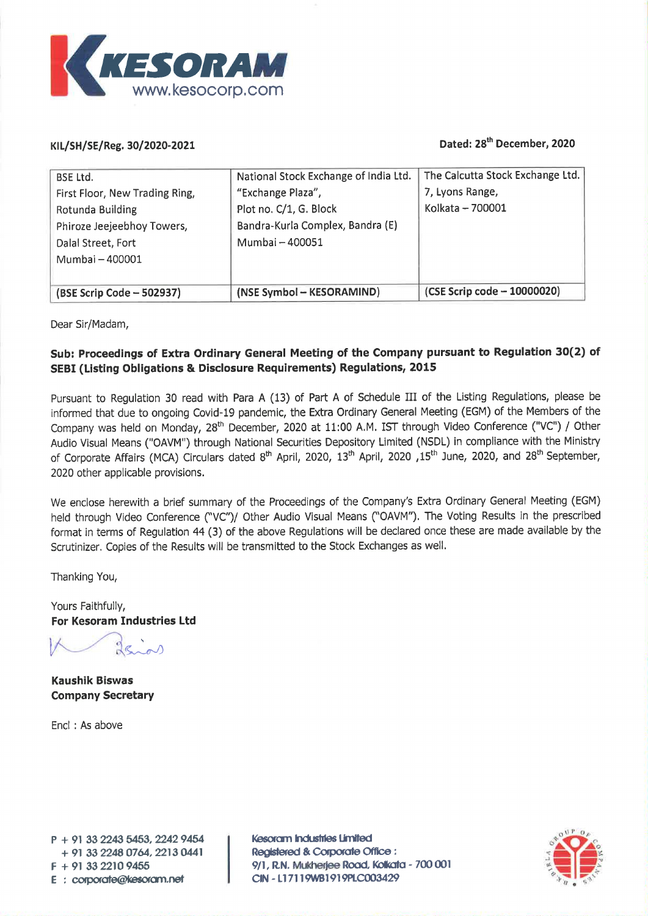

# KIL/SH/SE/Reg. 30/2020-2021 **Dated: 28<sup>th</sup> December, 2020**

| KESORAM                        |                                       |                                        |
|--------------------------------|---------------------------------------|----------------------------------------|
|                                |                                       |                                        |
|                                |                                       |                                        |
| KIL/SH/SE/Reg. 30/2020-2021    |                                       | Dated: 28 <sup>th</sup> December, 2020 |
| <b>BSE Ltd.</b>                | National Stock Exchange of India Ltd. | The Calcutta Stock Exchange Ltd.       |
| First Floor, New Trading Ring, | "Exchange Plaza",                     | 7, Lyons Range,                        |
| Rotunda Building               | Plot no. C/1, G. Block                | Kolkata - 700001                       |
| Phiroze Jeejeebhoy Towers,     | Bandra-Kurla Complex, Bandra (E)      |                                        |
| Dalal Street, Fort             | Mumbai - 400051                       |                                        |
| Mumbai - 400001                |                                       |                                        |

Dear Sir/Madam,

# Sub: Proceedings of Extra Ordinary General Meeting of the Company pursuant to Regulation 30(2) of SEBI (Listing Obligations & Disclosure Requirements) Regulations, 2015

Pursuant to Regulation 30 read with Para A (13) of Part A of Schedule III of the Listing Regulations, please be informed that due to ongoing Covid-19 pandemic, the Extra Ordinary General Meeting (EGM) of the Members of the Company was held on Monday, 28°" December, 2020 at 11:00 A.M. IST through Video Conference ("VC") / Other Audio Visual Means ("OAVM") through National Securities Depository Limited (NSDL) in compliance with the Ministry of Corporate Affairs (MCA) Circulars dated 8<sup>th</sup> April, 2020, 13<sup>th</sup> April, 2020, 15<sup>th</sup> June, 2020, and 28<sup>th</sup> September, 2020 other applicable provisions.

We enclose herewith a brief summary of the Proceedings of the Company's Extra Ordinary General Meeting (EGM) held through Video Conference ("VC")/ Other Audio Visual Means ("OAVM"). The Voting Results in the prescribed format in terms of Regulation 44 (3) of the above Regulations will be declared once these are made available by the Scrutinizer. Copies of the Results will be transmitted to the Stock Exchanges as well.

Thanking You,

Yours Faithfully, For Kesoram Industries Ltd

Kaushik Biswas Company Secretary

Encl : As above

 $P + 91$  33 2243 5453, 2242 9454 Kesoram Industries Limited  $+ 91 33 2248 0764, 2213 0441$  Registered & Corporate Office : E : corporate@kesoram.net | CIN - L17119WB1919PLC003429

F + 91 33 2210 9455 9/1, RIN. Mukherjee Road, Koikata - 700 001 |